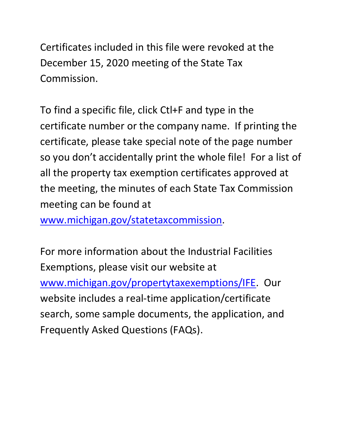Certificates included in this file were revoked at the December 15, 2020 meeting of the State Tax Commission.

 certificate number or the company name. If printing the so you don't accidentally print the whole file! For a list of To find a specific file, click Ctl+F and type in the certificate, please take special note of the page number all the property tax exemption certificates approved at the meeting, the minutes of each State Tax Commission meeting can be found at

[www.michigan.gov/statetaxcommission.](http://www.michigan.gov/statetaxcommission)

For more information about the Industrial Facilities Exemptions, please visit our website at [www.michigan.gov/propertytaxexemptions/IFE.](http://www.michigan.gov/taxes/0,1607,7-238-43535_53197-213175--,00.html) Our website includes a real-time application/certificate search, some sample documents, the application, and Frequently Asked Questions (FAQs).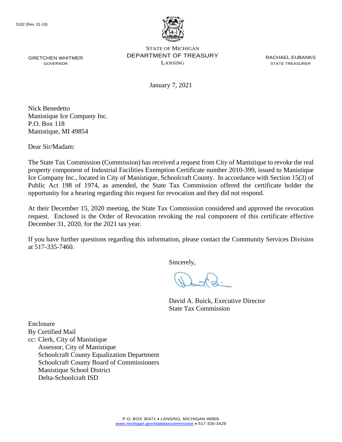

GRETCHEN WHITMER **EXAMPLE PERARTMENT OF TREASURY** EXACT ACHAEL EUBANKS STATE OF MICHIGAN GRETCHEN WHITMER **STATE OF A STATE TO A STATE THE STATE THE STATE TREASURER** GOVERNOR GOVERNOR

January 7, 2021

Nick Benedetto Manistique Ice Company Inc. P.O. Box 118 Manistique, MI 49854

Dear Sir/Madam:

 The State Tax Commission (Commission) has received a request from City of Manistique to revoke the real property component of Industrial Facilities Exemption Certificate number 2010-399, issued to Manistique Ice Company Inc., located in City of Manistique, Schoolcraft County. In accordance with Section 15(3) of Public Act 198 of 1974, as amended, the State Tax Commission offered the certificate holder the opportunity for a hearing regarding this request for revocation and they did not respond.

 request. Enclosed is the Order of Revocation revoking the real component of this certificate effective At their December 15, 2020 meeting, the State Tax Commission considered and approved the revocation December 31, 2020, for the 2021 tax year.

 If you have further questions regarding this information, please contact the Community Services Division at 517-335-7460.

Sincerely,

David A. Buick, Executive Director State Tax Commission

Enclosure By Certified Mail cc: Clerk, City of Manistique Assessor, City of Manistique Schoolcraft County Equalization Department Schoolcraft County Board of Commissioners Manistique School District Delta-Schoolcraft ISD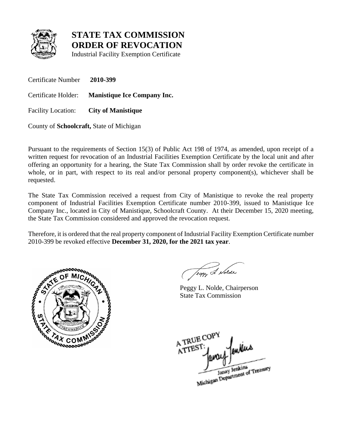

Industrial Facility Exemption Certificate

Certificate Number **2010-399**  Certificate Holder: **Manistique Ice Company Inc.**  Facility Location: **City of Manistique** 

County of **Schoolcraft,** State of Michigan

 Pursuant to the requirements of Section 15(3) of Public Act 198 of 1974, as amended, upon receipt of a offering an opportunity for a hearing, the State Tax Commission shall by order revoke the certificate in whole, or in part, with respect to its real and/or personal property component(s), whichever shall be requested. written request for revocation of an Industrial Facilities Exemption Certificate by the local unit and after

requested.<br>The State Tax Commission received a request from City of Manistique to revoke the real property Company Inc., located in City of Manistique, Schoolcraft County. At their December 15, 2020 meeting, component of Industrial Facilities Exemption Certificate number 2010-399, issued to Manistique Ice the State Tax Commission considered and approved the revocation request.

Therefore, it is ordered that the real property component of Industrial Facility Exemption Certificate number 2010-399 be revoked effective **December 31, 2020, for the 2021 tax year**.



Jegy & Nolde

Peggy L. Nolde, Chairperson State Tax Commission

A TRUE COP A TREST Janay Jenkins<br>Michigan Department of Treasury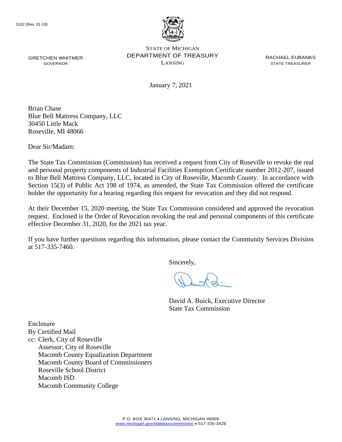

GRETCHEN WHITMER **EXAMPLE PERARTMENT OF TREASURY** EXACT ACHAEL EUBANKS STATE OF MICHIGAN GOVERNOR LANSING STATE TREASURER

January 7, 2021

Brian Chase Blue Bell Mattress Company, LLC 30450 Little Mack Roseville, MI 48066

Dear Sir/Madam:

 The State Tax Commission (Commission) has received a request from City of Roseville to revoke the real and personal property components of Industrial Facilities Exemption Certificate number 2012-207, issued to Blue Bell Mattress Company, LLC, located in City of Roseville, Macomb County. In accordance with Section 15(3) of Public Act 198 of 1974, as amended, the State Tax Commission offered the certificate holder the opportunity for a hearing regarding this request for revocation and they did not respond.

At their December 15, 2020 meeting, the State Tax Commission considered and approved the revocation request. Enclosed is the Order of Revocation revoking the real and personal components of this certificate effective December 31, 2020, for the 2021 tax year.

 If you have further questions regarding this information, please contact the Community Services Division at 517-335-7460.

Sincerely,

David A. Buick, Executive Director State Tax Commission

Enclosure By Certified Mail cc: Clerk, City of Roseville Assessor, City of Roseville Macomb County Equalization Department Macomb County Board of Commissioners Roseville School District Macomb ISD Macomb Community College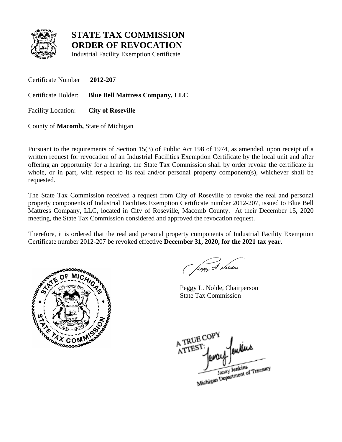

Industrial Facility Exemption Certificate

Certificate Number **2012-207** 

Certificate Holder: **Blue Bell Mattress Company, LLC** 

Facility Location: **City of Roseville** 

County of **Macomb,** State of Michigan

 Pursuant to the requirements of Section 15(3) of Public Act 198 of 1974, as amended, upon receipt of a offering an opportunity for a hearing, the State Tax Commission shall by order revoke the certificate in whole, or in part, with respect to its real and/or personal property component(s), whichever shall be requested. written request for revocation of an Industrial Facilities Exemption Certificate by the local unit and after

 Mattress Company, LLC, located in City of Roseville, Macomb County. At their December 15, 2020 The State Tax Commission received a request from City of Roseville to revoke the real and personal property components of Industrial Facilities Exemption Certificate number 2012-207, issued to Blue Bell meeting, the State Tax Commission considered and approved the revocation request.

Therefore, it is ordered that the real and personal property components of Industrial Facility Exemption Certificate number 2012-207 be revoked effective **December 31, 2020, for the 2021 tax year**.



Jeggy 2 Notae

Peggy L. Nolde, Chairperson State Tax Commission

A TRUE COP A TREST Janay Jenkins<br>Michigan Department of Treasury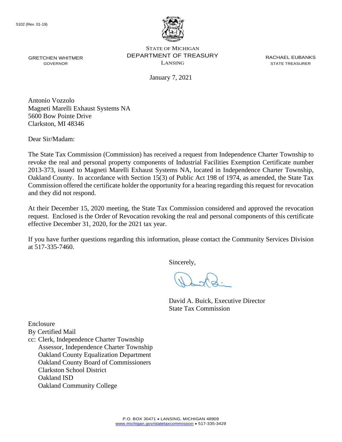

GRETCHEN WHITMER **EXAMPLE PERARTMENT OF TREASURY** EXACT ACHAEL EUBANKS STATE OF MICHIGAN GRETCHEN WHITMER **STATE OF A STATE TO A STATE THE STATE THE STATE TREASURER** GOVERNOR GOVERNOR

January 7, 2021

Antonio Vozzolo Magneti Marelli Exhaust Systems NA 5600 Bow Pointe Drive Clarkston, MI 48346

Dear Sir/Madam:

 The State Tax Commission (Commission) has received a request from Independence Charter Township to revoke the real and personal property components of Industrial Facilities Exemption Certificate number 2013-373, issued to Magneti Marelli Exhaust Systems NA, located in Independence Charter Township, Oakland County. In accordance with Section 15(3) of Public Act 198 of 1974, as amended, the State Tax Commission offered the certificate holder the opportunity for a hearing regarding this request for revocation and they did not respond.

At their December 15, 2020 meeting, the State Tax Commission considered and approved the revocation request. Enclosed is the Order of Revocation revoking the real and personal components of this certificate effective December 31, 2020, for the 2021 tax year.

 If you have further questions regarding this information, please contact the Community Services Division at 517-335-7460.

Sincerely,

David A. Buick, Executive Director State Tax Commission

Enclosure

By Certified Mail

cc: Clerk, Independence Charter Township Assessor, Independence Charter Township Oakland County Equalization Department Oakland County Board of Commissioners Clarkston School District Oakland ISD Oakland Community College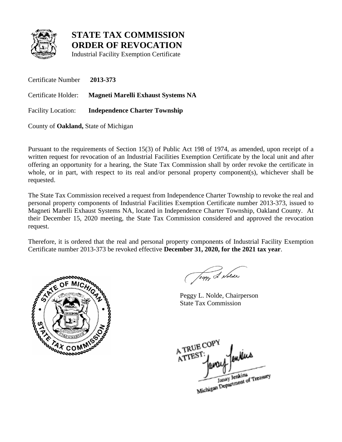

Industrial Facility Exemption Certificate

Certificate Number **2013-373**  Certificate Holder: **Magneti Marelli Exhaust Systems NA**  Facility Location: **Independence Charter Township** 

County of **Oakland,** State of Michigan

 Pursuant to the requirements of Section 15(3) of Public Act 198 of 1974, as amended, upon receipt of a offering an opportunity for a hearing, the State Tax Commission shall by order revoke the certificate in whole, or in part, with respect to its real and/or personal property component(s), whichever shall be requested. written request for revocation of an Industrial Facilities Exemption Certificate by the local unit and after

 Magneti Marelli Exhaust Systems NA, located in Independence Charter Township, Oakland County. At The State Tax Commission received a request from Independence Charter Township to revoke the real and personal property components of Industrial Facilities Exemption Certificate number 2013-373, issued to their December 15, 2020 meeting, the State Tax Commission considered and approved the revocation request.

Therefore, it is ordered that the real and personal property components of Industrial Facility Exemption Certificate number 2013-373 be revoked effective **December 31, 2020, for the 2021 tax year**.



Jeggy & Nolde

Peggy L. Nolde, Chairperson State Tax Commission

A TRUE COPY ATTEST Janay Jenkins<br>Michigan Department of Treasury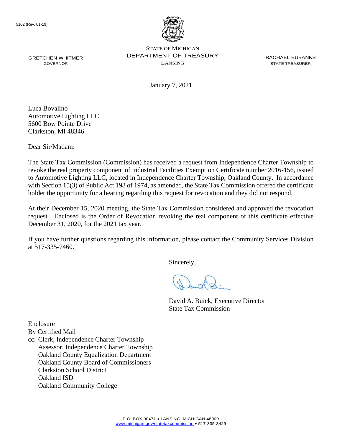

GRETCHEN WHITMER **EXAMPLE PERARTMENT OF TREASURY** EXACT ACHAEL EUBANKS STATE OF MICHIGAN GOVERNOR LANSING STATE TREASURER

January 7, 2021

Luca Bovalino Automotive Lighting LLC 5600 Bow Pointe Drive Clarkston, MI 48346

Dear Sir/Madam:

 The State Tax Commission (Commission) has received a request from Independence Charter Township to revoke the real property component of Industrial Facilities Exemption Certificate number 2016-156, issued to Automotive Lighting LLC, located in Independence Charter Township, Oakland County. In accordance with Section 15(3) of Public Act 198 of 1974, as amended, the State Tax Commission offered the certificate holder the opportunity for a hearing regarding this request for revocation and they did not respond.

 request. Enclosed is the Order of Revocation revoking the real component of this certificate effective At their December 15, 2020 meeting, the State Tax Commission considered and approved the revocation December 31, 2020, for the 2021 tax year.

 If you have further questions regarding this information, please contact the Community Services Division at 517-335-7460.

Sincerely,

David A. Buick, Executive Director State Tax Commission

Enclosure

By Certified Mail

cc: Clerk, Independence Charter Township Assessor, Independence Charter Township Oakland County Equalization Department Oakland County Board of Commissioners Clarkston School District Oakland ISD Oakland Community College